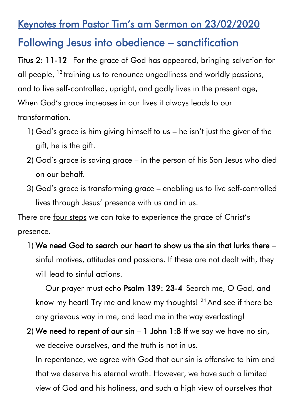## Keynotes from Pastor Tim's am Sermon on 23/02/2020

## Following Jesus into obedience – sanctification

Titus 2: 11-12 For the grace of God has appeared, bringing salvation for all people, <sup>12</sup> training us to renounce ungodliness and worldly passions, and to live self-controlled, upright, and godly lives in the present age, When God's grace increases in our lives it always leads to our transformation.

- 1) God's grace is him giving himself to us he isn't just the giver of the gift, he is the gift.
- 2) God's grace is saving grace in the person of his Son Jesus who died on our behalf.
- 3) God's grace is transforming grace enabling us to live self-controlled lives through Jesus' presence with us and in us.

There are four steps we can take to experience the grace of Christ's presence.

1) We need God to search our heart to show us the sin that lurks there – sinful motives, attitudes and passions. If these are not dealt with, they will lead to sinful actions.

 Our prayer must echo Psalm 139: 23-4 Search me, O God, and know my heart! Try me and know my thoughts! <sup>24</sup> And see if there be any grievous way in me, and lead me in the way everlasting!

2) We need to repent of our  $sin - 1$  John 1:8 If we say we have no  $sin$ , we deceive ourselves, and the truth is not in us.

In repentance, we agree with God that our sin is offensive to him and that we deserve his eternal wrath. However, we have such a limited view of God and his holiness, and such a high view of ourselves that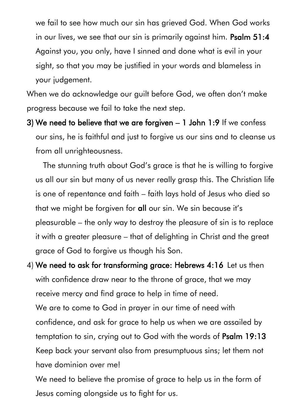we fail to see how much our sin has grieved God. When God works in our lives, we see that our sin is primarily against him. Psalm 51:4 Against you, you only, have I sinned and done what is evil in your sight, so that you may be justified in your words and blameless in your judgement.

When we do acknowledge our guilt before God, we often don't make progress because we fail to take the next step.

3) We need to believe that we are forgiven – 1 John 1:9 If we confess our sins, he is faithful and just to forgive us our sins and to cleanse us from all unrighteousness.

 The stunning truth about God's grace is that he is willing to forgive us all our sin but many of us never really grasp this. The Christian life is one of repentance and faith – faith lays hold of Jesus who died so that we might be forgiven for all our sin. We sin because it's pleasurable – the only way to destroy the pleasure of sin is to replace it with a greater pleasure – that of delighting in Christ and the great grace of God to forgive us though his Son.

4) We need to ask for transforming grace: Hebrews 4:16 Let us then with confidence draw near to the throne of grace, that we may receive mercy and find grace to help in time of need. We are to come to God in prayer in our time of need with confidence, and ask for grace to help us when we are assailed by temptation to sin, crying out to God with the words of Psalm 19:13 Keep back your servant also from presumptuous sins; let them not have dominion over me!

We need to believe the promise of grace to help us in the form of Jesus coming alongside us to fight for us.